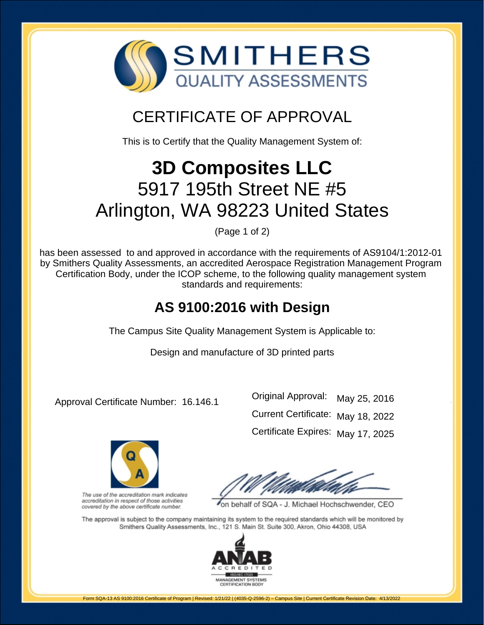

# CERTIFICATE OF APPROVAL

This is to Certify that the Quality Management System of:

# **3D Composites LLC** 5917 195th Street NE #5 Arlington, WA 98223 United States

(Page 1 of 2)

has been assessed to and approved in accordance with the requirements of AS9104/1:2012-01 by Smithers Quality Assessments, an accredited Aerospace Registration Management Program Certification Body, under the ICOP scheme, to the following quality management system standards and requirements:

## **AS 9100:2016 with Design**

The Campus Site Quality Management System is Applicable to:

Design and manufacture of 3D printed parts

Approval Certificate Number: 16.146.1

Original Approval: Current Certificate: May 18, 2022 Certificate Expires: May 17, 2025 May 25, 2016



The use of the accreditation mark indicates accreditation in respect of those activities covered by the above certificate number.

on behalf of SQA - J. Michael Hochschwender, CEO

The approval is subject to the company maintaining its system to the required standards which will be monitored by Smithers Quality Assessments, Inc., 121 S. Main St. Suite 300, Akron, Ohio 44308, USA